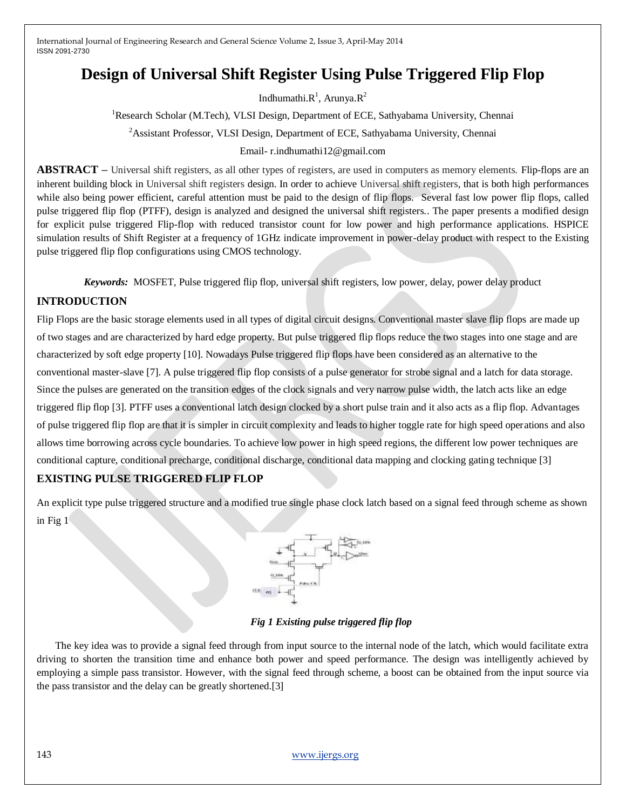International Journal of Engineering Research and General Science Volume 2, Issue 3, April-May 2014 ISSN 2091-2730

# **Design of Universal Shift Register Using Pulse Triggered Flip Flop**

Indhumathi. $R^1$ , Arunya. $R^2$ 

<sup>1</sup>Research Scholar (M.Tech), VLSI Design, Department of ECE, Sathyabama University, Chennai

<sup>2</sup> Assistant Professor, VLSI Design, Department of ECE, Sathyabama University, Chennai

#### Email- r.indhumathi12@gmail.com

**ABSTRACT** – Universal shift registers, as all other types of registers, are used in computers as memory elements. Flip-flops are an inherent building block in Universal shift registers design. In order to achieve Universal shift registers, that is both high performances while also being power efficient, careful attention must be paid to the design of flip flops. Several fast low power flip flops, called pulse triggered flip flop (PTFF), design is analyzed and designed the universal shift registers.. The paper presents a modified design for explicit pulse triggered Flip-flop with reduced transistor count for low power and high performance applications. HSPICE simulation results of Shift Register at a frequency of 1GHz indicate improvement in power-delay product with respect to the Existing pulse triggered flip flop configurations using CMOS technology.

*Keywords:*MOSFET, Pulse triggered flip flop, universal shift registers, low power, delay, power delay product

# **INTRODUCTION**

Flip Flops are the basic storage elements used in all types of digital circuit designs. Conventional master slave flip flops are made up of two stages and are characterized by hard edge property. But pulse triggered flip flops reduce the two stages into one stage and are characterized by soft edge property [10]. Nowadays Pulse triggered flip flops have been considered as an alternative to the conventional master-slave [7]. A pulse triggered flip flop consists of a pulse generator for strobe signal and a latch for data storage. Since the pulses are generated on the transition edges of the clock signals and very narrow pulse width, the latch acts like an edge triggered flip flop [3]. PTFF uses a conventional latch design clocked by a short pulse train and it also acts as a flip flop. Advantages of pulse triggered flip flop are that it is simpler in circuit complexity and leads to higher toggle rate for high speed operations and also allows time borrowing across cycle boundaries. To achieve low power in high speed regions, the different low power techniques are conditional capture, conditional precharge, conditional discharge, conditional data mapping and clocking gating technique [3]

## **EXISTING PULSE TRIGGERED FLIP FLOP**

An explicit type pulse triggered structure and a modified true single phase clock latch based on a signal feed through scheme as shown in Fig 1



## *Fig 1 Existing pulse triggered flip flop*

The key idea was to provide a signal feed through from input source to the internal node of the latch, which would facilitate extra driving to shorten the transition time and enhance both power and speed performance. The design was intelligently achieved by employing a simple pass transistor. However, with the signal feed through scheme, a boost can be obtained from the input source via the pass transistor and the delay can be greatly shortened.[3]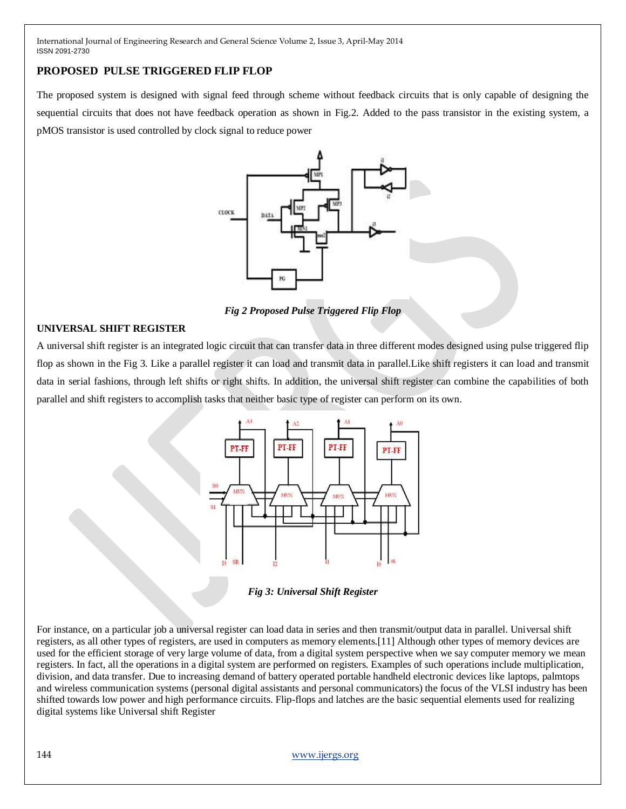International Journal of Engineering Research and General Science Volume 2, Issue 3, April-May 2014 ISSN 2091-2730

# **PROPOSED PULSE TRIGGERED FLIP FLOP**

The proposed system is designed with signal feed through scheme without feedback circuits that is only capable of designing the sequential circuits that does not have feedback operation as shown in Fig.2. Added to the pass transistor in the existing system, a pMOS transistor is used controlled by clock signal to reduce power



*Fig 2 Proposed Pulse Triggered Flip Flop*

#### **UNIVERSAL SHIFT REGISTER**

A universal shift register is an integrated logic circuit that can transfer data in three different modes designed using pulse triggered flip flop as shown in the Fig 3. Like a parallel register it can load and transmit data in parallel.Like shift registers it can load and transmit data in serial fashions, through left shifts or right shifts. In addition, the universal shift register can combine the capabilities of both parallel and shift registers to accomplish tasks that neither basic type of register can perform on its own.



*Fig 3: Universal Shift Register*

For instance, on a particular job a universal register can load data in series and then transmit/output data in parallel. Universal shift registers, as all other types of registers, are used in computers as memory elements.[11] Although other types of memory devices are used for the efficient storage of very large volume of data, from a digital system perspective when we say computer memory we mean registers. In fact, all the operations in a digital system are performed on registers. Examples of such operations include multiplication, division, and data transfer. Due to increasing demand of battery operated portable handheld electronic devices like laptops, palmtops and wireless communication systems (personal digital assistants and personal communicators) the focus of the VLSI industry has been shifted towards low power and high performance circuits. Flip-flops and latches are the basic sequential elements used for realizing digital systems like Universal shift Register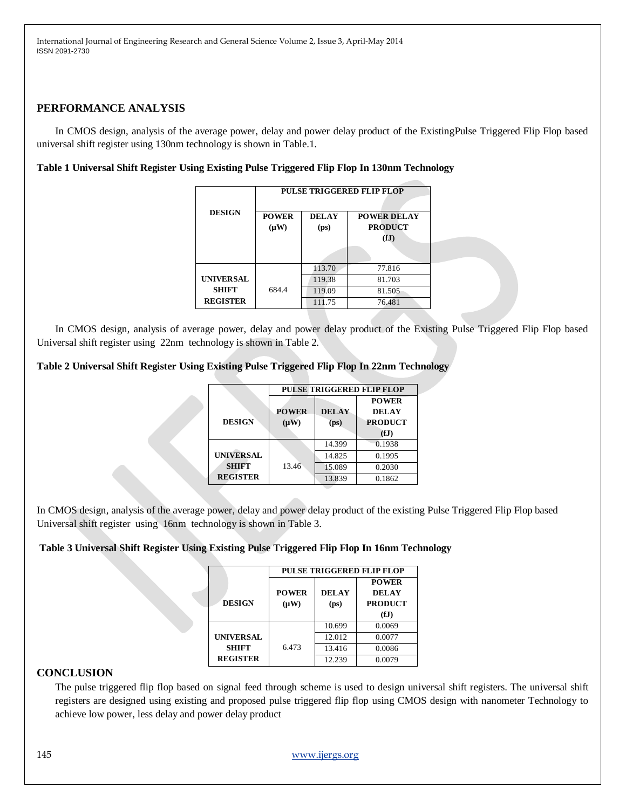## **PERFORMANCE ANALYSIS**

In CMOS design, analysis of the average power, delay and power delay product of the ExistingPulse Triggered Flip Flop based universal shift register using 130nm technology is shown in Table.1.

#### **Table 1 Universal Shift Register Using Existing Pulse Triggered Flip Flop In 130nm Technology**

|                  | <b>PULSE TRIGGERED FLIP FLOP</b> |                                   |                                              |  |
|------------------|----------------------------------|-----------------------------------|----------------------------------------------|--|
| <b>DESIGN</b>    | <b>POWER</b><br>$(\mu W)$        | <b>DELAY</b><br>(p <sub>S</sub> ) | <b>POWER DELAY</b><br><b>PRODUCT</b><br>(fJ) |  |
|                  |                                  | 113.70                            | 77.816                                       |  |
| <b>UNIVERSAL</b> |                                  | 119.38                            | 81.703                                       |  |
| <b>SHIFT</b>     | 684.4                            | 119.09                            | 81.505                                       |  |
| <b>REGISTER</b>  |                                  | 111.75                            | 76.481                                       |  |

In CMOS design, analysis of average power, delay and power delay product of the Existing Pulse Triggered Flip Flop based Universal shift register using 22nm technology is shown in Table 2.

#### **Table 2 Universal Shift Register Using Existing Pulse Triggered Flip Flop In 22nm Technology**

|                  | <b>PULSE TRIGGERED FLIP FLOP</b> |                   |                |  |  |
|------------------|----------------------------------|-------------------|----------------|--|--|
|                  |                                  |                   | <b>POWER</b>   |  |  |
|                  | <b>POWER</b>                     | <b>DELAY</b>      | <b>DELAY</b>   |  |  |
| <b>DESIGN</b>    | $(\mu W)$                        | (p <sub>S</sub> ) | <b>PRODUCT</b> |  |  |
|                  |                                  |                   | (fJ)           |  |  |
|                  |                                  | 14.399            | 0.1938         |  |  |
| <b>UNIVERSAL</b> |                                  | 14.825            | 0.1995         |  |  |
| <b>SHIFT</b>     | 13.46                            | 15.089            | 0.2030         |  |  |
| <b>REGISTER</b>  |                                  | 13.839            | 0.1862         |  |  |

In CMOS design, analysis of the average power, delay and power delay product of the existing Pulse Triggered Flip Flop based Universal shift register using 16nm technology is shown in Table 3.

## **Table 3 Universal Shift Register Using Existing Pulse Triggered Flip Flop In 16nm Technology**

|                  | <b>PULSE TRIGGERED FLIP FLOP</b> |                   |                |  |  |
|------------------|----------------------------------|-------------------|----------------|--|--|
|                  |                                  |                   | <b>POWER</b>   |  |  |
|                  | <b>POWER</b>                     | <b>DELAY</b>      | <b>DELAY</b>   |  |  |
| <b>DESIGN</b>    | $(\mu W)$                        | (p <sub>S</sub> ) | <b>PRODUCT</b> |  |  |
|                  |                                  |                   | (fJ)           |  |  |
|                  |                                  | 10.699            | 0.0069         |  |  |
| <b>UNIVERSAL</b> |                                  | 12.012            | 0.0077         |  |  |
| <b>SHIFT</b>     | 6.473                            | 13.416            | 0.0086         |  |  |
| <b>REGISTER</b>  |                                  | 12.239            | 0.0079         |  |  |

#### **CONCLUSION**

The pulse triggered flip flop based on signal feed through scheme is used to design universal shift registers. The universal shift registers are designed using existing and proposed pulse triggered flip flop using CMOS design with nanometer Technology to achieve low power, less delay and power delay product